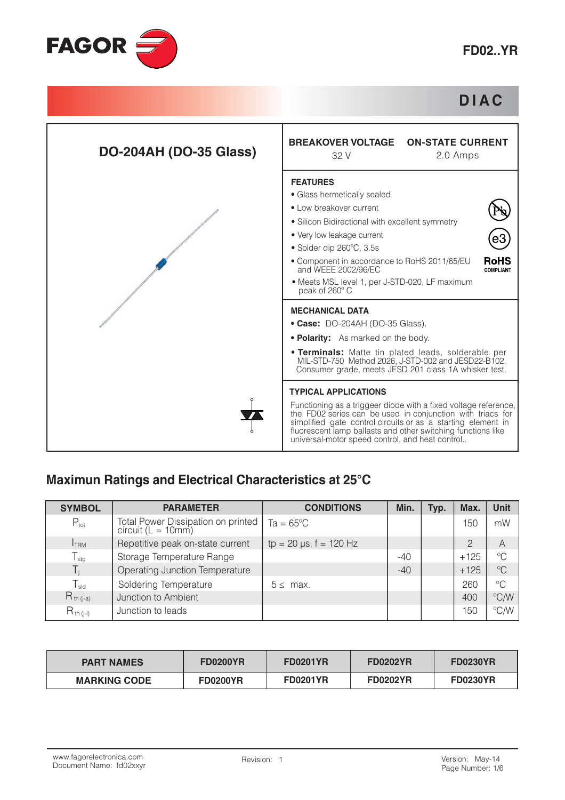

## **DIAC**



#### Maximun Ratings and Electrical Characteristics at 25°C

| <b>SYMBOL</b>    | <b>PARAMETER</b>                                         | <b>CONDITIONS</b>            | Min.  | Typ. | Max.           | <b>Unit</b>             |
|------------------|----------------------------------------------------------|------------------------------|-------|------|----------------|-------------------------|
| $P_{\text{tot}}$ | Total Power Dissipation on printed<br>circuit (L = 10mm) | $Ta = 65^{\circ}C$           |       |      | 150            | mW                      |
| <b>I</b> TRM     | Repetitive peak on-state current                         | $tp = 20 \mu s$ , f = 120 Hz |       |      | $\overline{2}$ | $\overline{A}$          |
| $T_{\text{stg}}$ | Storage Temperature Range                                |                              | $-40$ |      | $+125$         | $\mathrm{C}$            |
|                  | Operating Junction Temperature                           |                              | $-40$ |      | $+125$         | $^{\circ}C$             |
| $T_{sld}$        | Soldering Temperature                                    | $5 \leq$ max.                |       |      | 260            | $^{\circ}C$             |
| $R_{th (j-a)}$   | Junction to Ambient                                      |                              |       |      | 400            | $\mathrm{C}/\mathrm{W}$ |
| $R_{th (i-l)}$   | Junction to leads                                        |                              |       |      | 150            | °C/W                    |

| <b>PART NAMES</b>   | <b>FD0200YR</b> | <b>FD0201YR</b> | <b>FD0202YR</b> | <b>FD0230YR</b> |
|---------------------|-----------------|-----------------|-----------------|-----------------|
| <b>MARKING CODE</b> | <b>FD0200YR</b> | <b>FD0201YR</b> | <b>FD0202YR</b> | <b>FD0230YR</b> |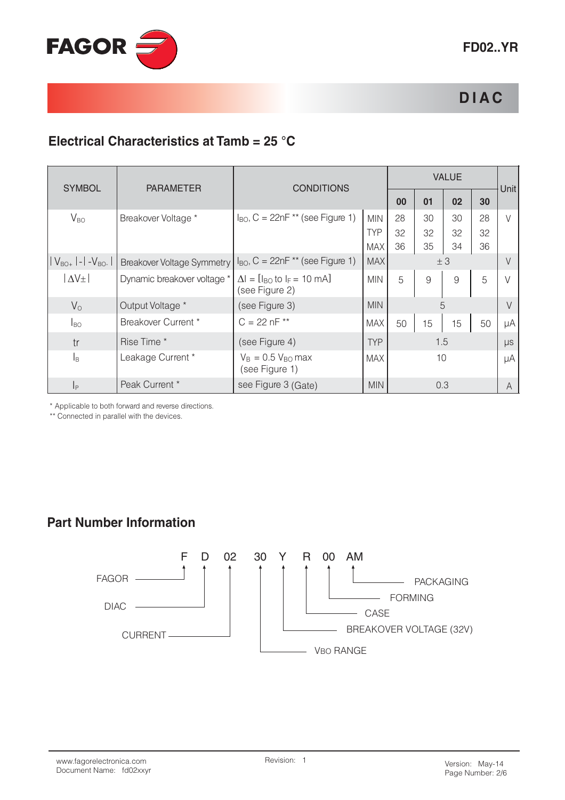

## **DIAC**

## Electrical Characteristics at Tamb = 25 °C

|                                     |                             |                                                                         |            | <b>VALUE</b> |     |    |    |             |  |
|-------------------------------------|-----------------------------|-------------------------------------------------------------------------|------------|--------------|-----|----|----|-------------|--|
| <b>SYMBOL</b>                       | <b>PARAMETER</b>            | <b>CONDITIONS</b>                                                       |            | 00           | 01  | 02 | 30 | <b>Unit</b> |  |
| $V_{BO}$                            | Breakover Voltage *         | $I_{BO}$ , C = 22nF ** (see Figure 1)                                   | <b>MIN</b> | 28           | 30  | 30 | 28 | $\vee$      |  |
|                                     |                             |                                                                         | <b>TYP</b> | 32           | 32  | 32 | 32 |             |  |
|                                     |                             |                                                                         | <b>MAX</b> | 36           | 35  | 34 | 36 |             |  |
| $ V_{BO+} $ - $ $ -V <sub>bo-</sub> | Breakover Voltage Symmetry  | $I_{BO}$ , C = 22nF ** (see Figure 1)                                   | <b>MAX</b> |              |     | ±3 |    |             |  |
| $ \Delta V_{\pm} $                  | Dynamic breakover voltage * | $\Delta I = [I_{BO} \text{ to } I_F = 10 \text{ mA}]$<br>(see Figure 2) | <b>MIN</b> | 5            | 9   | 9  | 5  |             |  |
| $V_{\Omega}$                        | Output Voltage *            | (see Figure 3)                                                          | <b>MIN</b> |              |     | 5  |    | $\vee$      |  |
| $I_{BO}$                            | Breakover Current *         | $C = 22 nF$ **                                                          | MAX        | 50           | 15  | 15 | 50 | μA          |  |
| tr                                  | Rise Time *                 | (see Figure 4)                                                          | <b>TYP</b> |              | 1.5 |    |    | $\mu s$     |  |
| $\vert_{\mathsf{B}}$                | Leakage Current *           | $V_B = 0.5 V_{BO}$ max<br>(see Figure 1)                                | <b>MAX</b> |              | 10  |    |    | μA          |  |
| $\vert_{\mathsf{P}}$                | Peak Current *              | see Figure 3 (Gate)                                                     | <b>MIN</b> |              | 0.3 |    |    | A           |  |

\* Applicable to both forward and reverse directions.

\*\* Connected in parallel with the devices.

#### **Part Number Information**

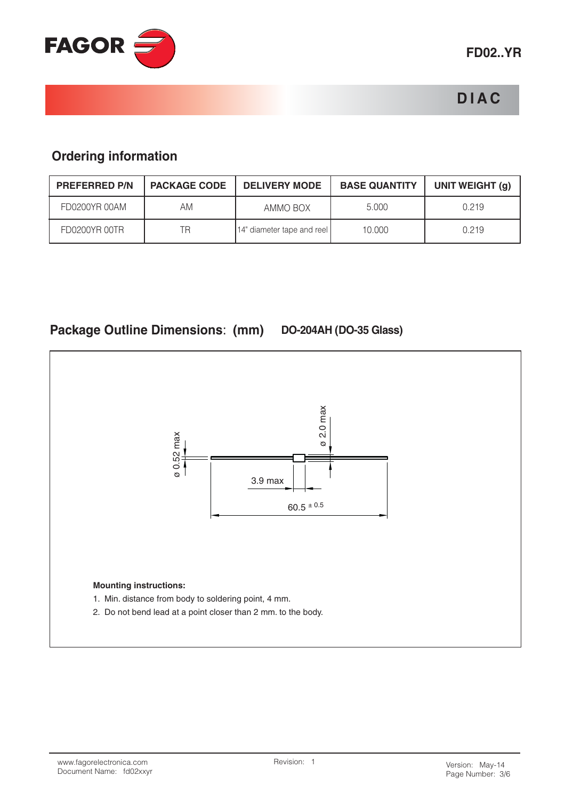

# **DIAC**

## **Ordering information**

| <b>PREFERRED P/N</b> | <b>PACKAGE CODE</b> | <b>DELIVERY MODE</b>       | <b>BASE QUANTITY</b> | UNIT WEIGHT (g) |
|----------------------|---------------------|----------------------------|----------------------|-----------------|
| FD0200YR 00AM        | AM                  | AMMO BOX                   | 5.000                | 0.219           |
| FD0200YR 00TR        | ΤR                  | 14" diameter tape and reel | 10.000               | 0.219           |

## Package Outline Dimensions: (mm) DO-204AH (DO-35 Glass)

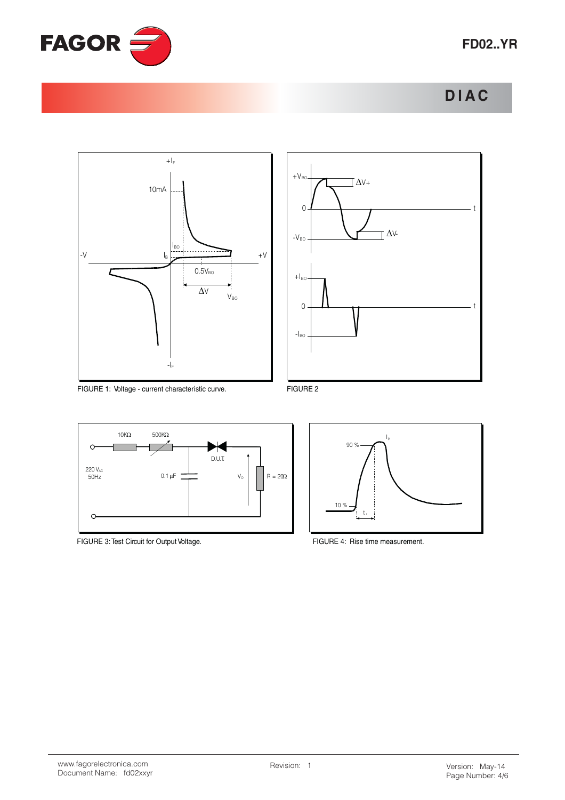







FIGURE 1: Voltage - current characteristic curve.



FIGURE 3: Test Circuit for Output Voltage.





FIGURE 4: Rise time measurement.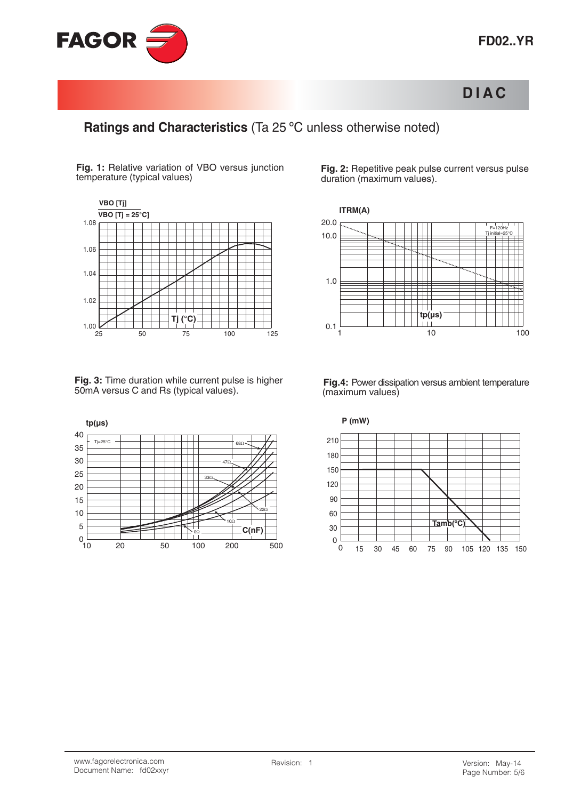

## **DIAC**

#### Ratings and Characteristics (Ta 25 °C unless otherwise noted)

Fig. 1: Relative variation of VBO versus junction temperature (typical values)



Fig. 3: Time duration while current pulse is higher 50mA versus C and Rs (typical values).



Fig. 2: Repetitive peak pulse current versus pulse duration (maximum values).



Fig.4: Power dissipation versus ambient temperature (maximum values)